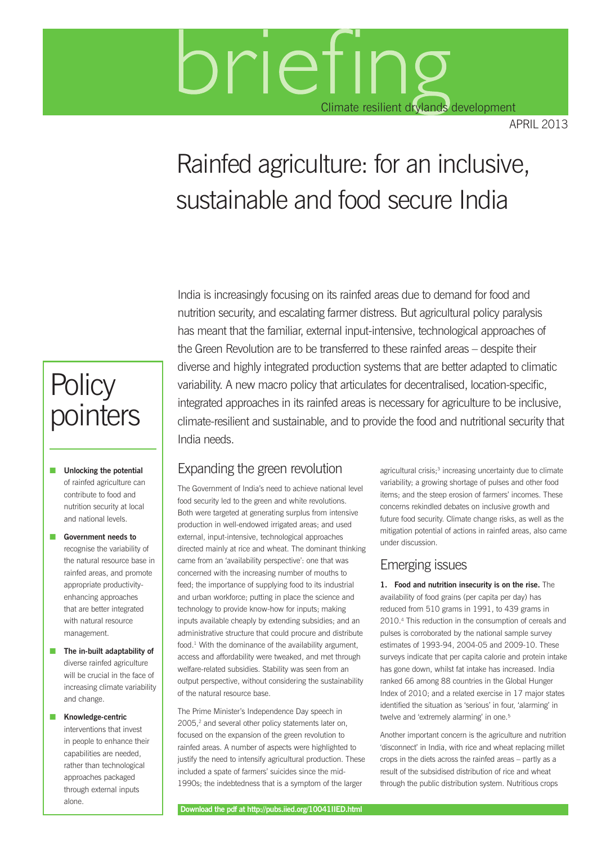# brieting Climate resilient drylands development

april 2013

## Rainfed agriculture: for an inclusive, sustainable and food secure India

## India is increasingly focusing on its rainfed areas due to demand for food and nutrition security, and escalating farmer distress. But agricultural policy paralysis has meant that the familiar, external input-intensive, technological approaches of the Green Revolution are to be transferred to these rainfed areas – despite their diverse and highly integrated production systems that are better adapted to climatic variability. A new macro policy that articulates for decentralised, location-specific, integrated approaches in its rainfed areas is necessary for agriculture to be inclusive, climate-resilient and sustainable, and to provide the food and nutritional security that India needs.

### Expanding the green revolution

The Government of India's need to achieve national level food security led to the green and white revolutions. Both were targeted at generating surplus from intensive production in well-endowed irrigated areas; and used external, input-intensive, technological approaches directed mainly at rice and wheat. The dominant thinking came from an 'availability perspective': one that was concerned with the increasing number of mouths to feed; the importance of supplying food to its industrial and urban workforce; putting in place the science and technology to provide know-how for inputs; making inputs available cheaply by extending subsidies; and an administrative structure that could procure and distribute food.1 With the dominance of the availability argument, access and affordability were tweaked, and met through welfare-related subsidies. Stability was seen from an output perspective, without considering the sustainability of the natural resource base.

The Prime Minister's Independence Day speech in 2005,<sup>2</sup> and several other policy statements later on, focused on the expansion of the green revolution to rainfed areas. A number of aspects were highlighted to justify the need to intensify agricultural production. These included a spate of farmers' suicides since the mid-1990s; the indebtedness that is a symptom of the larger

agricultural crisis;<sup>3</sup> increasing uncertainty due to climate variability; a growing shortage of pulses and other food items; and the steep erosion of farmers' incomes. These concerns rekindled debates on inclusive growth and future food security. Climate change risks, as well as the mitigation potential of actions in rainfed areas, also came under discussion.

## Emerging issues

**1. Food and nutrition insecurity is on the rise.** The availability of food grains (per capita per day) has reduced from 510 grams in 1991, to 439 grams in 2010.4 This reduction in the consumption of cereals and pulses is corroborated by the national sample survey estimates of 1993-94, 2004-05 and 2009-10. These surveys indicate that per capita calorie and protein intake has gone down, whilst fat intake has increased. India ranked 66 among 88 countries in the Global Hunger Index of 2010; and a related exercise in 17 major states identified the situation as 'serious' in four, 'alarming' in twelve and 'extremely alarming' in one.<sup>5</sup>

Another important concern is the agriculture and nutrition 'disconnect' in India, with rice and wheat replacing millet crops in the diets across the rainfed areas – partly as a result of the subsidised distribution of rice and wheat through the public distribution system. Nutritious crops

## **Policy** pointers

**n** Unlocking the potential of rainfed agriculture can contribute to food and nutrition security at local and national levels.

**n** Government needs to recognise the variability of the natural resource base in rainfed areas, and promote appropriate productivityenhancing approaches that are better integrated with natural resource management.

**n** The in-built adaptability of diverse rainfed agriculture will be crucial in the face of increasing climate variability and change.

**n** Knowledge-centric interventions that invest in people to enhance their capabilities are needed, rather than technological approaches packaged through external inputs alone.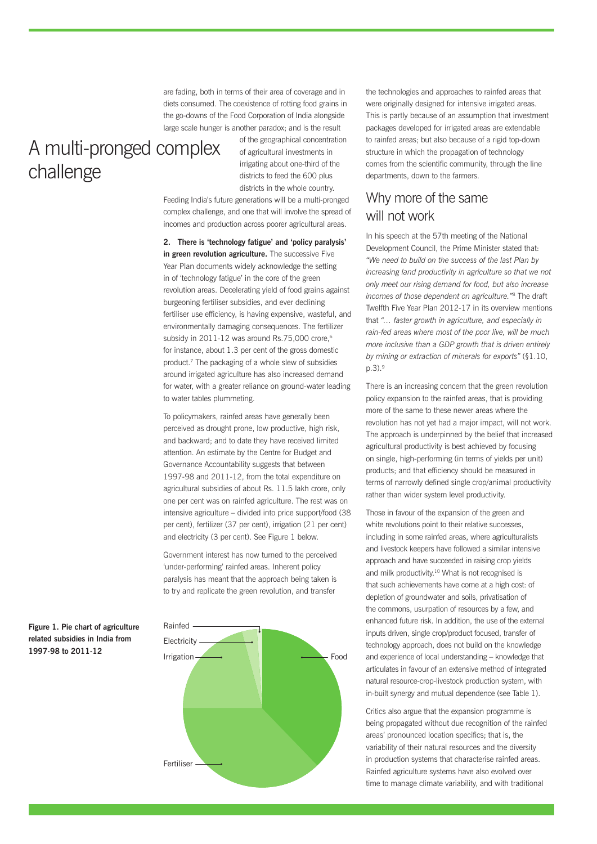are fading, both in terms of their area of coverage and in diets consumed. The coexistence of rotting food grains in the go-downs of the Food Corporation of India alongside large scale hunger is another paradox; and is the result

## A multi-pronged complex challenge

of the geographical concentration of agricultural investments in irrigating about one-third of the districts to feed the 600 plus districts in the whole country.

Feeding India's future generations will be a multi-pronged complex challenge, and one that will involve the spread of incomes and production across poorer agricultural areas.

#### **2. There is 'technology fatigue' and 'policy paralysis' in green revolution agriculture.** The successive Five Year Plan documents widely acknowledge the setting in of 'technology fatigue' in the core of the green revolution areas. Decelerating yield of food grains against burgeoning fertiliser subsidies, and ever declining fertiliser use efficiency, is having expensive, wasteful, and environmentally damaging consequences. The fertilizer subsidy in 2011-12 was around Rs.75,000 crore,<sup>6</sup> for instance, about 1.3 per cent of the gross domestic product.7 The packaging of a whole slew of subsidies around irrigated agriculture has also increased demand for water, with a greater reliance on ground-water leading to water tables plummeting.

To policymakers, rainfed areas have generally been perceived as drought prone, low productive, high risk, and backward; and to date they have received limited attention. An estimate by the Centre for Budget and Governance Accountability suggests that between 1997-98 and 2011-12, from the total expenditure on agricultural subsidies of about Rs. 11.5 lakh crore, only one per cent was on rainfed agriculture. The rest was on intensive agriculture – divided into price support/food (38 per cent), fertilizer (37 per cent), irrigation (21 per cent) and electricity (3 per cent). See Figure 1 below.

Government interest has now turned to the perceived 'under-performing' rainfed areas. Inherent policy paralysis has meant that the approach being taken is to try and replicate the green revolution, and transfer



the technologies and approaches to rainfed areas that were originally designed for intensive irrigated areas. This is partly because of an assumption that investment packages developed for irrigated areas are extendable to rainfed areas; but also because of a rigid top-down structure in which the propagation of technology comes from the scientific community, through the line departments, down to the farmers.

#### Why more of the same will not work

In his speech at the 57th meeting of the National Development Council, the Prime Minister stated that: *"We need to build on the success of the last Plan by increasing land productivity in agriculture so that we not only meet our rising demand for food, but also increase incomes of those dependent on agriculture."*8 The draft Twelfth Five Year Plan 2012-17 in its overview mentions that *"… faster growth in agriculture, and especially in rain-fed areas where most of the poor live, will be much more inclusive than a GDP growth that is driven entirely by mining or extraction of minerals for exports"* (§1.10, p.3).9

There is an increasing concern that the green revolution policy expansion to the rainfed areas, that is providing more of the same to these newer areas where the revolution has not yet had a major impact, will not work. The approach is underpinned by the belief that increased agricultural productivity is best achieved by focusing on single, high-performing (in terms of yields per unit) products; and that efficiency should be measured in terms of narrowly defined single crop/animal productivity rather than wider system level productivity.

Those in favour of the expansion of the green and white revolutions point to their relative successes, including in some rainfed areas, where agriculturalists and livestock keepers have followed a similar intensive approach and have succeeded in raising crop yields and milk productivity.<sup>10</sup> What is not recognised is that such achievements have come at a high cost: of depletion of groundwater and soils, privatisation of the commons, usurpation of resources by a few, and enhanced future risk. In addition, the use of the external inputs driven, single crop/product focused, transfer of technology approach, does not build on the knowledge and experience of local understanding – knowledge that articulates in favour of an extensive method of integrated natural resource-crop-livestock production system, with in-built synergy and mutual dependence (see Table 1).

Critics also argue that the expansion programme is being propagated without due recognition of the rainfed areas' pronounced location specifics; that is, the variability of their natural resources and the diversity in production systems that characterise rainfed areas. Rainfed agriculture systems have also evolved over time to manage climate variability, and with traditional

**Figure 1. Pie chart of agriculture related subsidies in India from 1997-98 to 2011-12**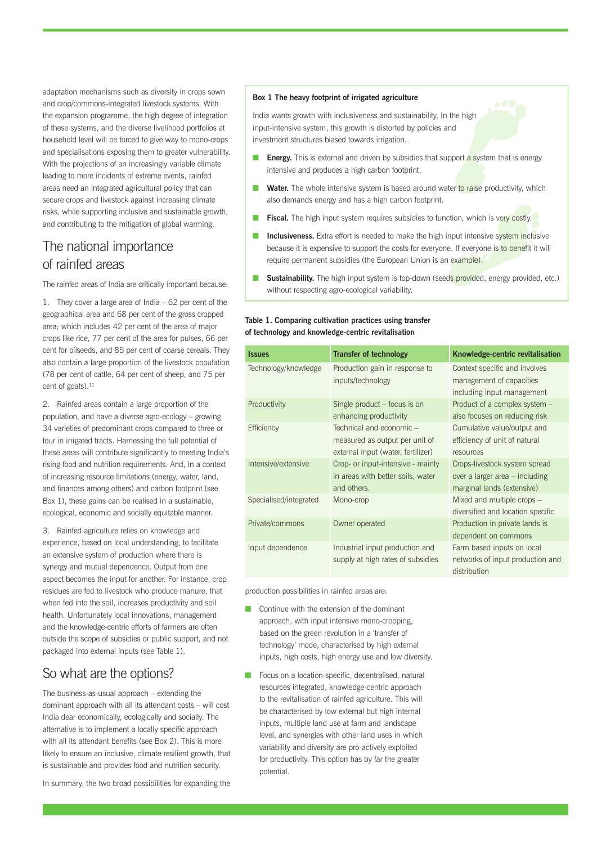adaptation mechanisms such as diversity in crops sown and crop/commons-integrated livestock systems. With the expansion programme, the high degree of integration of these systems, and the diverse livelihood portfolios at household level will be forced to give way to mono-crops and specialisations exposing them to greater vulnerability. With the projections of an increasingly variable climate leading to more incidents of extreme events, rainfed areas need an integrated agricultural policy that can secure crops and livestock against increasing climate risks, while supporting inclusive and sustainable growth, and contributing to the mitigation of global warming.

### The national importance of rainfed areas

The rainfed areas of India are critically important because:

1. They cover a large area of India – 62 per cent of the geographical area and 68 per cent of the gross cropped area; which includes 42 per cent of the area of major crops like rice, 77 per cent of the area for pulses, 66 per cent for oilseeds, and 85 per cent of coarse cereals. They also contain a large proportion of the livestock population (78 per cent of cattle, 64 per cent of sheep, and 75 per cent of goats).<sup>11</sup>

2. Rainfed areas contain a large proportion of the population, and have a diverse agro-ecology – growing 34 varieties of predominant crops compared to three or four in irrigated tracts. Harnessing the full potential of these areas will contribute significantly to meeting India's rising food and nutrition requirements. And, in a context of increasing resource limitations (energy, water, land, and finances among others) and carbon footprint (see Box 1), these gains can be realised in a sustainable, ecological, economic and socially equitable manner.

3. Rainfed agriculture relies on knowledge and experience, based on local understanding, to facilitate an extensive system of production where there is synergy and mutual dependence. Output from one aspect becomes the input for another. For instance, crop residues are fed to livestock who produce manure, that when fed into the soil, increases productivity and soil health. Unfortunately local innovations, management and the knowledge-centric efforts of farmers are often outside the scope of subsidies or public support, and not packaged into external inputs (see Table 1).

## So what are the options?

The business-as-usual approach – extending the dominant approach with all its attendant costs – will cost India dear economically, ecologically and socially. The alternative is to implement a locally specific approach with all its attendant benefits (see Box 2). This is more likely to ensure an inclusive, climate resilient growth, that is sustainable and provides food and nutrition security.

In summary, the two broad possibilities for expanding the

#### **Box 1 The heavy footprint of irrigated agriculture**

India wants growth with inclusiveness and sustainability. In the high input-intensive system, this growth is distorted by policies and investment structures biased towards irrigation.

- **Energy.** This is external and driven by subsidies that support a system that is energy intensive and produces a high carbon footprint.
- **Nater.** The whole intensive system is based around water to raise productivity, which also demands energy and has a high carbon footprint.
- **Fiscal.** The high input system requires subsidies to function, which is very costly.
- **n Inclusiveness.** Extra effort is needed to make the high input intensive system inclusive because it is expensive to support the costs for everyone. If everyone is to benefit it will require permanent subsidies (the European Union is an example).
- **Sustainability.** The high input system is top-down (seeds provided, energy provided, etc.) without respecting agro-ecological variability.

#### **Table 1. Comparing cultivation practices using transfer of technology and knowledge-centric revitalisation**

| <b>Issues</b>          | <b>Transfer of technology</b>      | Knowledge-centric revitalisation  |
|------------------------|------------------------------------|-----------------------------------|
| Technology/knowledge   | Production gain in response to     | Context specific and involves     |
|                        | inputs/technology                  | management of capacities          |
|                        |                                    | including input management        |
| Productivity           | Single product – focus is on       | Product of a complex system -     |
|                        | enhancing productivity             | also focuses on reducing risk     |
| Efficiency             | Technical and economic -           | Cumulative value/output and       |
|                        | measured as output per unit of     | efficiency of unit of natural     |
|                        | external input (water, fertilizer) | resources                         |
| Intensive/extensive    | Crop- or input-intensive - mainly  | Crops-livestock system spread     |
|                        | in areas with better soils, water  | over a larger area – including    |
|                        | and others.                        | marginal lands (extensive)        |
| Specialised/integrated | Mono-crop                          | Mixed and multiple crops -        |
|                        |                                    | diversified and location specific |
| Private/commons        | Owner operated                     | Production in private lands is    |
|                        |                                    | dependent on commons              |
| Input dependence       | Industrial input production and    | Farm based inputs on local        |
|                        | supply at high rates of subsidies  | networks of input production and  |
|                        |                                    | distribution                      |

production possibilities in rainfed areas are:

- Continue with the extension of the dominant approach, with input intensive mono-cropping, based on the green revolution in a 'transfer of technology' mode, characterised by high external inputs, high costs, high energy use and low diversity.
- Focus on a location-specific, decentralised, natural resources integrated, knowledge-centric approach to the revitalisation of rainfed agriculture. This will be characterised by low external but high internal inputs, multiple land use at farm and landscape level, and synergies with other land uses in which variability and diversity are pro-actively exploited for productivity. This option has by far the greater potential.